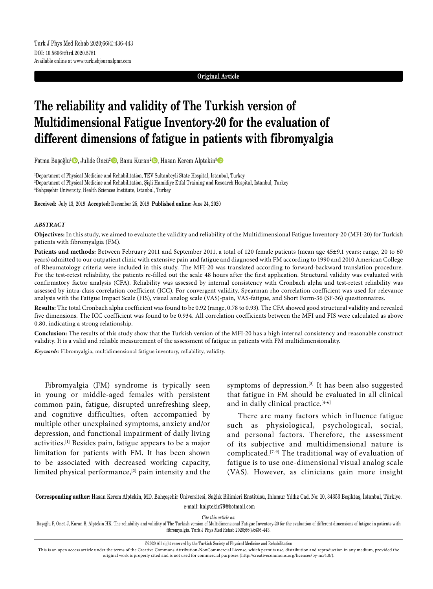## **Original Article**

# **The reliability and validity of The Turkish version of Multidimensional Fatigue Inventory-20 for the evaluation of different dimensions of fatigue in patients with fibromyalgia**

Fatma Başoğlu<sup>1</sup>. Julide Öncü<sup>2</sup> D, Banu Kuran<sup>2</sup> D, Hasan Kerem Alptekin<sup>3</sup> D

1 Department of Physical Medicine and Rehabilitation, TEV Sultanbeyli State Hospital, Istanbul, Turkey 2 Department of Physical Medicine and Rehabilitation, Şişli Hamidiye Etfal Training and Research Hospital, Istanbul, Turkey 3 Bahçeşehir University, Health Sciences Institute, Istanbul, Turkey

**Received:** July 13, 2019 **Accepted:** December 25, 2019 **Published online:** June 24, 2020

## *ABSTRACT*

**Objectives:** In this study, we aimed to evaluate the validity and reliability of the Multidimensional Fatigue Inventory-20 (MFI-20) for Turkish patients with fibromyalgia (FM).

**Patients and methods:** Between February 2011 and September 2011, a total of 120 female patients (mean age 45±9.1 years; range, 20 to 60 years) admitted to our outpatient clinic with extensive pain and fatigue and diagnosed with FM according to 1990 and 2010 American College of Rheumatology criteria were included in this study. The MFI-20 was translated according to forward-backward translation procedure. For the test-retest reliability, the patients re-filled out the scale 48 hours after the first application. Structural validity was evaluated with confirmatory factor analysis (CFA). Reliability was assessed by internal consistency with Cronbach alpha and test-retest reliability was assessed by intra-class correlation coefficient (ICC). For convergent validity, Spearman rho correlation coefficient was used for relevance analysis with the Fatigue Impact Scale (FIS), visual analog scale (VAS)-pain, VAS-fatigue, and Short Form-36 (SF-36) questionnaires.

**Results:** The total Cronbach alpha coefficient was found to be 0.92 (range, 0.78 to 0.93). The CFA showed good structural validity and revealed five dimensions. The ICC coefficient was found to be 0.934. All correlation coefficients between the MFI and FIS were calculated as above 0.80, indicating a strong relationship.

**Conclusion:** The results of this study show that the Turkish version of the MFI-20 has a high internal consistency and reasonable construct validity. It is a valid and reliable measurement of the assessment of fatigue in patients with FM multidimensionality.

*Keywords:* Fibromyalgia, multidimensional fatigue inventory, reliability, validity.

Fibromyalgia (FM) syndrome is typically seen in young or middle-aged females with persistent common pain, fatigue, disrupted unrefreshing sleep, and cognitive difficulties, often accompanied by multiple other unexplained symptoms, anxiety and/or depression, and functional impairment of daily living activities.[1] Besides pain, fatigue appears to be a major limitation for patients with FM. It has been shown to be associated with decreased working capacity, limited physical performance,[2] pain intensity and the symptoms of depression.<sup>[3]</sup> It has been also suggested that fatigue in FM should be evaluated in all clinical and in daily clinical practice.<sup>[4-6]</sup>

There are many factors which influence fatigue such as physiological, psychological, social, and personal factors. Therefore, the assessment of its subjective and multidimensional nature is complicated.[7-9] The traditional way of evaluation of fatigue is to use one-dimensional visual analog scale (VAS). However, as clinicians gain more insight

**Corresponding author:** Hasan Kerem Alptekin, MD. Bahçeşehir Üniversitesi, Sağlık Bilimleri Enstitüsü, Ihlamur Yıldız Cad. No: 10, 34353 Beşiktaş, İstanbul, Türkiye. e-mail: kalptekin79@hotmail.com

*Cite this article as:*

Başoğlu F, Öncü J, Kuran B, Alptekin HK. The reliability and validity of The Turkish version of Multidimensional Fatigue Inventory-20 for the evaluation of different dimensions of fatigue in patients with fibromyalgia. Turk J Phys Med Rehab 2020;66(4):436-443.

©2020 All right reserved by the Turkish Society of Physical Medicine and Rehabilitation

This is an open access article under the terms of the Creative Commons Attribution-NonCommercial License, which permits use, distribution and reproduction in any medium, provided the original work is properly cited and is not used for commercial purposes (http://creativecommons.org/licenses/by-nc/4.0/).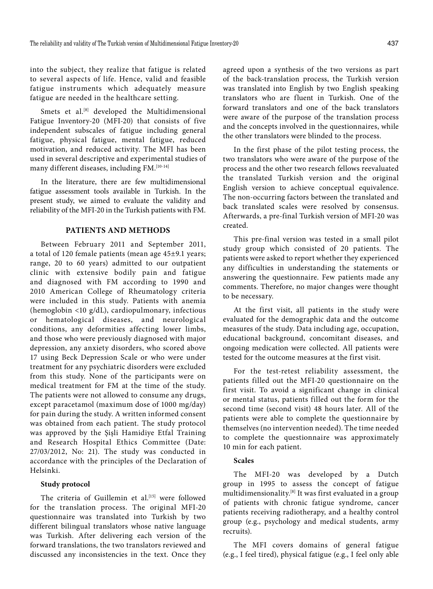into the subject, they realize that fatigue is related to several aspects of life. Hence, valid and feasible fatigue instruments which adequately measure fatigue are needed in the healthcare setting.

Smets et al.<sup>[8]</sup> developed the Multidimensional Fatigue Inventory-20 (MFI-20) that consists of five independent subscales of fatigue including general fatigue, physical fatigue, mental fatigue, reduced motivation, and reduced activity. The MFI has been used in several descriptive and experimental studies of many different diseases, including FM.<sup>[10-14]</sup>

In the literature, there are few multidimensional fatigue assessment tools available in Turkish. In the present study, we aimed to evaluate the validity and reliability of the MFI-20 in the Turkish patients with FM.

# **PATIENTS AND METHODS**

Between February 2011 and September 2011, a total of 120 female patients (mean age 45±9.1 years; range, 20 to 60 years) admitted to our outpatient clinic with extensive bodily pain and fatigue and diagnosed with FM according to 1990 and 2010 American College of Rheumatology criteria were included in this study. Patients with anemia (hemoglobin <10 g/dL), cardiopulmonary, infectious or hematological diseases, and neurological conditions, any deformities affecting lower limbs, and those who were previously diagnosed with major depression, any anxiety disorders, who scored above 17 using Beck Depression Scale or who were under treatment for any psychiatric disorders were excluded from this study. None of the participants were on medical treatment for FM at the time of the study. The patients were not allowed to consume any drugs, except paracetamol (maximum dose of 1000 mg/day) for pain during the study. A written informed consent was obtained from each patient. The study protocol was approved by the Şişli Hamidiye Etfal Training and Research Hospital Ethics Committee (Date: 27/03/2012, No: 21). The study was conducted in accordance with the principles of the Declaration of Helsinki.

#### **Study protocol**

The criteria of Guillemin et al.<sup>[15]</sup> were followed for the translation process. The original MFI-20 questionnaire was translated into Turkish by two different bilingual translators whose native language was Turkish. After delivering each version of the forward translations, the two translators reviewed and discussed any inconsistencies in the text. Once they agreed upon a synthesis of the two versions as part of the back-translation process, the Turkish version was translated into English by two English speaking translators who are fluent in Turkish. One of the forward translators and one of the back translators were aware of the purpose of the translation process and the concepts involved in the questionnaires, while the other translators were blinded to the process.

In the first phase of the pilot testing process, the two translators who were aware of the purpose of the process and the other two research fellows reevaluated the translated Turkish version and the original English version to achieve conceptual equivalence. The non-occurring factors between the translated and back translated scales were resolved by consensus. Afterwards, a pre-final Turkish version of MFI-20 was created.

This pre-final version was tested in a small pilot study group which consisted of 20 patients. The patients were asked to report whether they experienced any difficulties in understanding the statements or answering the questionnaire. Few patients made any comments. Therefore, no major changes were thought to be necessary.

At the first visit, all patients in the study were evaluated for the demographic data and the outcome measures of the study. Data including age, occupation, educational background, concomitant diseases, and ongoing medication were collected. All patients were tested for the outcome measures at the first visit.

For the test-retest reliability assessment, the patients filled out the MFI-20 questionnaire on the first visit. To avoid a significant change in clinical or mental status, patients filled out the form for the second time (second visit) 48 hours later. All of the patients were able to complete the questionnaire by themselves (no intervention needed). The time needed to complete the questionnaire was approximately 10 min for each patient.

# **Scales**

The MFI-20 was developed by a Dutch group in 1995 to assess the concept of fatigue multidimensionality.[8] It was first evaluated in a group of patients with chronic fatigue syndrome, cancer patients receiving radiotherapy, and a healthy control group (e.g., psychology and medical students, army recruits).

The MFI covers domains of general fatigue (e.g., I feel tired), physical fatigue (e.g., I feel only able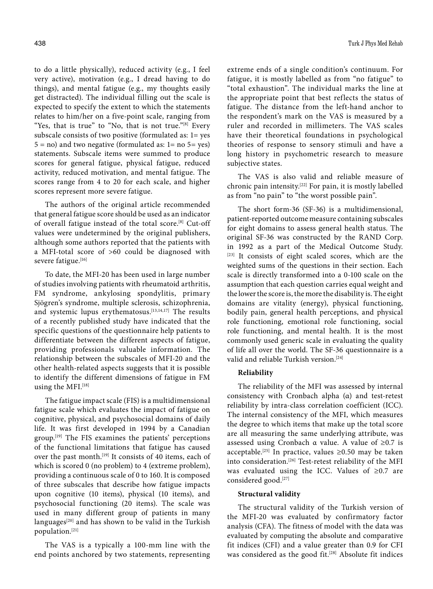to do a little physically), reduced activity (e.g., I feel very active), motivation (e.g., I dread having to do things), and mental fatigue (e.g., my thoughts easily get distracted). The individual filling out the scale is expected to specify the extent to which the statements relates to him/her on a five-point scale, ranging from "Yes, that is true" to "No, that is not true."<sup>[8]</sup> Every subscale consists of two positive (formulated as: 1= yes  $5 = no$ ) and two negative (formulated as:  $1 = no$   $5 = yes$ ) statements. Subscale items were summed to produce scores for general fatigue, physical fatigue, reduced activity, reduced motivation, and mental fatigue. The scores range from 4 to 20 for each scale, and higher scores represent more severe fatigue.

The authors of the original article recommended that general fatigue score should be used as an indicator of overall fatigue instead of the total score.[8] Cut-off values were undetermined by the original publishers, although some authors reported that the patients with a MFI-total score of >60 could be diagnosed with severe fatigue.[16]

To date, the MFI-20 has been used in large number of studies involving patients with rheumatoid arthritis, FM syndrome, ankylosing spondylitis, primary Sjögren's syndrome, multiple sclerosis, schizophrenia, and systemic lupus erythematosus.[13,14,17] The results of a recently published study have indicated that the specific questions of the questionnaire help patients to differentiate between the different aspects of fatigue, providing professionals valuable information. The relationship between the subscales of MFI-20 and the other health-related aspects suggests that it is possible to identify the different dimensions of fatigue in FM using the MFI.<sup>[18]</sup>

The fatigue impact scale (FIS) is a multidimensional fatigue scale which evaluates the impact of fatigue on cognitive, physical, and psychosocial domains of daily life. It was first developed in 1994 by a Canadian group.[19] The FIS examines the patients' perceptions of the functional limitations that fatigue has caused over the past month.<sup>[19]</sup> It consists of 40 items, each of which is scored 0 (no problem) to 4 (extreme problem), providing a continuous scale of 0 to 160. It is composed of three subscales that describe how fatigue impacts upon cognitive (10 items), physical (10 items), and psychosocial functioning (20 items). The scale was used in many different group of patients in many languages $[20]$  and has shown to be valid in the Turkish population.[21]

The VAS is a typically a 100-mm line with the end points anchored by two statements, representing extreme ends of a single condition's continuum. For fatigue, it is mostly labelled as from "no fatigue" to "total exhaustion". The individual marks the line at the appropriate point that best reflects the status of fatigue. The distance from the left-hand anchor to the respondent's mark on the VAS is measured by a ruler and recorded in millimeters. The VAS scales have their theoretical foundations in psychological theories of response to sensory stimuli and have a long history in psychometric research to measure subjective states.

The VAS is also valid and reliable measure of chronic pain intensity.[22] For pain, it is mostly labelled as from "no pain" to "the worst possible pain".

The short form-36 (SF-36) is a multidimensional, patient-reported outcome measure containing subscales for eight domains to assess general health status. The original SF-36 was constructed by the RAND Corp. in 1992 as a part of the Medical Outcome Study. [23] It consists of eight scaled scores, which are the weighted sums of the questions in their section. Each scale is directly transformed into a 0-100 scale on the assumption that each question carries equal weight and the lower the score is, the more the disability is. The eight domains are vitality (energy), physical functioning, bodily pain, general health perceptions, and physical role functioning, emotional role functioning, social role functioning, and mental health. It is the most commonly used generic scale in evaluating the quality of life all over the world. The SF-36 questionnaire is a valid and reliable Turkish version.<sup>[24]</sup>

# **Reliability**

The reliability of the MFI was assessed by internal consistency with Cronbach alpha (α) and test-retest reliability by intra-class correlation coefficient (ICC). The internal consistency of the MFI, which measures the degree to which items that make up the total score are all measuring the same underlying attribute, was assessed using Cronbach  $\alpha$  value. A value of ≥0.7 is acceptable.<sup>[25]</sup> In practice, values ≥0.50 may be taken into consideration.[26] Test-retest reliability of the MFI was evaluated using the ICC. Values of ≥0.7 are considered good.[27]

## **Structural validity**

The structural validity of the Turkish version of the MFI-20 was evaluated by confirmatory factor analysis (CFA). The fitness of model with the data was evaluated by computing the absolute and comparative fit indices (CFI) and a value greater than 0.9 for CFI was considered as the good fit.<sup>[28]</sup> Absolute fit indices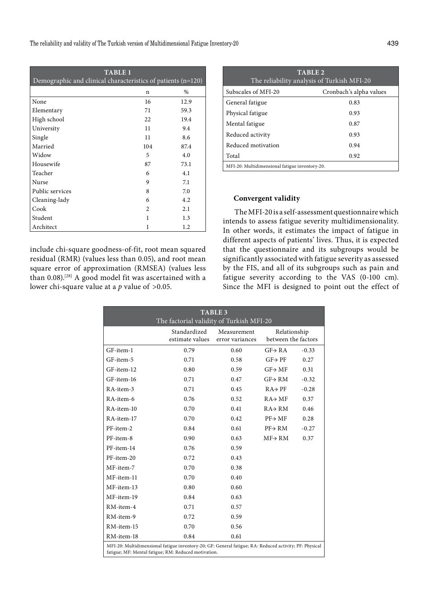| <b>TABLE 1</b><br>Demographic and clinical characteristics of patients (n=120) |                |      |  |  |  |  |
|--------------------------------------------------------------------------------|----------------|------|--|--|--|--|
|                                                                                | n              | $\%$ |  |  |  |  |
| None                                                                           | 16             | 12.9 |  |  |  |  |
| Elementary                                                                     | 71             | 59.3 |  |  |  |  |
| High school                                                                    | 22             | 19.4 |  |  |  |  |
| University                                                                     | 11             | 9.4  |  |  |  |  |
| Single                                                                         | 11             | 8.6  |  |  |  |  |
| Married                                                                        | 104            | 87.4 |  |  |  |  |
| Widow                                                                          | 5              | 4.0  |  |  |  |  |
| Housewife                                                                      | 87             | 73.1 |  |  |  |  |
| Teacher                                                                        | 6              | 4.1  |  |  |  |  |
| Nurse                                                                          | 9              | 7.1  |  |  |  |  |
| Public services                                                                | 8              | 7.0  |  |  |  |  |
| Cleaning-lady                                                                  | 6              | 4.2  |  |  |  |  |
| Cook                                                                           | $\mathfrak{D}$ | 2.1  |  |  |  |  |
| Student                                                                        | 1              | 1.3  |  |  |  |  |
| Architect                                                                      | 1              | 1.2  |  |  |  |  |

include chi-square goodness-of-fit, root mean squared residual (RMR) (values less than 0.05), and root mean square error of approximation (RMSEA) (values less than 0.08).<sup>[28]</sup> A good model fit was ascertained with a lower chi-square value at a *p* value of >0.05.

| TABLE <sub>2</sub><br>The reliability analysis of Turkish MFI-20 |                         |  |  |  |
|------------------------------------------------------------------|-------------------------|--|--|--|
| Subscales of MFI-20                                              | Cronbach's alpha values |  |  |  |
| General fatigue                                                  | 0.83                    |  |  |  |
| Physical fatigue                                                 | 0.93                    |  |  |  |
| Mental fatigue                                                   | 0.87                    |  |  |  |
| Reduced activity                                                 | 0.93                    |  |  |  |
| Reduced motivation                                               | 0.94                    |  |  |  |
| Total                                                            | 0.92                    |  |  |  |
| MFI-20: Multidimensional fatigue inventory-20.                   |                         |  |  |  |

# **Convergent validity**

 The MFI-20 is a self-assessment questionnaire which intends to assess fatigue severity multidimensionality. In other words, it estimates the impact of fatigue in different aspects of patients' lives. Thus, it is expected that the questionnaire and its subgroups would be significantly associated with fatigue severity as assessed by the FIS, and all of its subgroups such as pain and fatigue severity according to the VAS (0-100 cm). Since the MFI is designed to point out the effect of

| <b>TABLE 3</b>                                                                                                                                                 |                                 |                                |                                     |         |  |  |
|----------------------------------------------------------------------------------------------------------------------------------------------------------------|---------------------------------|--------------------------------|-------------------------------------|---------|--|--|
| The factorial validity of Turkish MFI-20                                                                                                                       |                                 |                                |                                     |         |  |  |
|                                                                                                                                                                | Standardized<br>estimate values | Measurement<br>error variances | Relationship<br>between the factors |         |  |  |
| GF-item-1                                                                                                                                                      | 0.79                            | 0.60                           | $GF\rightarrow RA$                  | $-0.33$ |  |  |
| GF-item-5                                                                                                                                                      | 0.71                            | 0.58                           | $GF\rightarrow PF$                  | 0.27    |  |  |
| GF-item-12                                                                                                                                                     | 0.80                            | 0.59                           | $GF\rightarrow MF$                  | 0.31    |  |  |
| GF-item-16                                                                                                                                                     | 0.71                            | 0.47                           | $GF\rightarrow RM$                  | $-0.32$ |  |  |
| RA-item-3                                                                                                                                                      | 0.71                            | 0.45                           | $RA \rightarrow PF$                 | $-0.28$ |  |  |
| RA-item-6                                                                                                                                                      | 0.76                            | 0.52                           | $RA \rightarrow MF$                 | 0.37    |  |  |
| RA-item-10                                                                                                                                                     | 0.70                            | 0.41                           | $RA \rightarrow RM$                 | 0.46    |  |  |
| RA-item-17                                                                                                                                                     | 0.70                            | 0.42                           | $PF \rightarrow MF$                 | 0.28    |  |  |
| PF-item-2                                                                                                                                                      | 0.84                            | 0.61                           | $PF \rightarrow RM$                 | $-0.27$ |  |  |
| PF-item-8                                                                                                                                                      | 0.90                            | 0.63                           | $MF \rightarrow RM$                 | 0.37    |  |  |
| PF-item-14                                                                                                                                                     | 0.76                            | 0.59                           |                                     |         |  |  |
| PF-item-20                                                                                                                                                     | 0.72                            | 0.43                           |                                     |         |  |  |
| MF-item-7                                                                                                                                                      | 0.70                            | 0.38                           |                                     |         |  |  |
| MF-item-11                                                                                                                                                     | 0.70                            | 0.40                           |                                     |         |  |  |
| MF-item-13                                                                                                                                                     | 0.80                            | 0.60                           |                                     |         |  |  |
| MF-item-19                                                                                                                                                     | 0.84                            | 0.63                           |                                     |         |  |  |
|                                                                                                                                                                |                                 |                                |                                     |         |  |  |
| RM-item-4                                                                                                                                                      | 0.71                            | 0.57                           |                                     |         |  |  |
| RM-item-9                                                                                                                                                      | 0.72                            | 0.59                           |                                     |         |  |  |
| RM-item-15                                                                                                                                                     | 0.70                            | 0.56                           |                                     |         |  |  |
| RM-item-18                                                                                                                                                     | 0.84                            | 0.61                           |                                     |         |  |  |
| MFI-20: Multidimensional fatigue inventory-20; GF: General fatigue; RA: Reduced activity; PF: Physical<br>fatigue; MF: Mental fatigue; RM: Reduced motivation. |                                 |                                |                                     |         |  |  |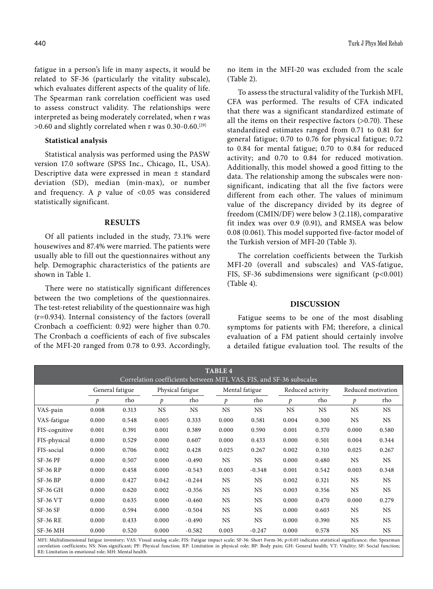fatigue in a person's life in many aspects, it would be related to SF-36 (particularly the vitality subscale), which evaluates different aspects of the quality of life. The Spearman rank correlation coefficient was used to assess construct validity. The relationships were interpreted as being moderately correlated, when r was  $>0.60$  and slightly correlated when r was 0.30-0.60.<sup>[29]</sup>

## **Statistical analysis**

Statistical analysis was performed using the PASW version 17.0 software (SPSS Inc., Chicago, IL, USA). Descriptive data were expressed in mean ± standard deviation (SD), median (min-max), or number and frequency. A  $p$  value of <0.05 was considered statistically significant.

# **RESULTS**

Of all patients included in the study, 73.1% were housewives and 87.4% were married. The patients were usually able to fill out the questionnaires without any help. Demographic characteristics of the patients are shown in Table 1.

There were no statistically significant differences between the two completions of the questionnaires. The test-retest reliability of the questionnaire was high (r=0.934). Internal consistency of the factors (overall Cronbach α coefficient: 0.92) were higher than 0.70. The Cronbach α coefficients of each of five subscales of the MFI-20 ranged from 0.78 to 0.93. Accordingly, no item in the MFI-20 was excluded from the scale (Table 2).

To assess the structural validity of the Turkish MFI, CFA was performed. The results of CFA indicated that there was a significant standardized estimate of all the items on their respective factors (>0.70). These standardized estimates ranged from 0.71 to 0.81 for general fatigue; 0.70 to 0.76 for physical fatigue; 0.72 to 0.84 for mental fatigue; 0.70 to 0.84 for reduced activity; and 0.70 to 0.84 for reduced motivation. Additionally, this model showed a good fitting to the data. The relationship among the subscales were nonsignificant, indicating that all the five factors were different from each other. The values of minimum value of the discrepancy divided by its degree of freedom (CMIN/DF) were below 3 (2.118), comparative fit index was over 0.9 (0.91), and RMSEA was below 0.08 (0.061). This model supported five-factor model of the Turkish version of MFI-20 (Table 3).

The correlation coefficients between the Turkish MFI-20 (overall and subscales) and VAS-fatigue, FIS, SF-36 subdimensions were significant (p<0.001) (Table 4).

## **DISCUSSION**

Fatigue seems to be one of the most disabling symptoms for patients with FM; therefore, a clinical evaluation of a FM patient should certainly involve a detailed fatigue evaluation tool. The results of the

| <b>TABLE 4</b><br>Correlation coefficients between MFI, VAS, FIS, and SF-36 subscales |                                     |       |           |                |           |                  |           |                    |           |           |
|---------------------------------------------------------------------------------------|-------------------------------------|-------|-----------|----------------|-----------|------------------|-----------|--------------------|-----------|-----------|
|                                                                                       | General fatigue<br>Physical fatigue |       |           | Mental fatigue |           | Reduced activity |           | Reduced motivation |           |           |
|                                                                                       | p                                   | rho   | p         | rho            | p         | rho              | p         | rho                | p         | rho       |
| VAS-pain                                                                              | 0.008                               | 0.313 | <b>NS</b> | <b>NS</b>      | <b>NS</b> | <b>NS</b>        | <b>NS</b> | <b>NS</b>          | <b>NS</b> | <b>NS</b> |
| VAS-fatigue                                                                           | 0.000                               | 0.548 | 0.005     | 0.333          | 0.000     | 0.581            | 0.004     | 0.300              | <b>NS</b> | <b>NS</b> |
| FIS-cognitive                                                                         | 0.001                               | 0.391 | 0.001     | 0.389          | 0.000     | 0.590            | 0.001     | 0.370              | 0.000     | 0.580     |
| FIS-physical                                                                          | 0.000                               | 0.529 | 0.000     | 0.607          | 0.000     | 0.433            | 0.000     | 0.501              | 0.004     | 0.344     |
| FIS-social                                                                            | 0.000                               | 0.706 | 0.002     | 0.428          | 0.025     | 0.267            | 0.002     | 0.310              | 0.025     | 0.267     |
| <b>SF-36 PF</b>                                                                       | 0.000                               | 0.507 | 0.000     | $-0.490$       | <b>NS</b> | <b>NS</b>        | 0.000     | 0.480              | <b>NS</b> | <b>NS</b> |
| <b>SF-36 RP</b>                                                                       | 0.000                               | 0.458 | 0.000     | $-0.543$       | 0.003     | $-0.348$         | 0.001     | 0.542              | 0.003     | 0.348     |
| <b>SF-36 BP</b>                                                                       | 0.000                               | 0.427 | 0.042     | $-0.244$       | <b>NS</b> | <b>NS</b>        | 0.002     | 0.321              | <b>NS</b> | <b>NS</b> |
| <b>SF-36 GH</b>                                                                       | 0.000                               | 0.620 | 0.002     | $-0.356$       | NS.       | NS.              | 0.003     | 0.356              | <b>NS</b> | <b>NS</b> |
| <b>SF-36 VT</b>                                                                       | 0.000                               | 0.635 | 0.000     | $-0.460$       | NS.       | NS.              | 0.000     | 0.470              | 0.000     | 0.279     |
| <b>SF-36 SF</b>                                                                       | 0.000                               | 0.594 | 0.000     | $-0.504$       | <b>NS</b> | <b>NS</b>        | 0.000     | 0.603              | <b>NS</b> | <b>NS</b> |
| <b>SF-36 RE</b>                                                                       | 0.000                               | 0.433 | 0.000     | $-0.490$       | <b>NS</b> | <b>NS</b>        | 0.000     | 0.390              | <b>NS</b> | <b>NS</b> |
| <b>SF-36 MH</b>                                                                       | 0.000                               | 0.520 | 0.000     | $-0.582$       | 0.003     | $-0.247$         | 0.000     | 0.578              | <b>NS</b> | <b>NS</b> |

MFI: Multidimensional fatigue inventory; VAS: Visual analog scale; FIS: Fatigue impact scale; SF-36: Short Form-36; p<0.05 indicates statistical significance; rho: Spearman correlation coefficients; NS: Non-significant; PF: Physical function; RP: Limitation in physical role; BP: Body pain; GH: General health; VT: Vitality; SF: Social function; RE: Limitation in emotional role; MH: Mental health.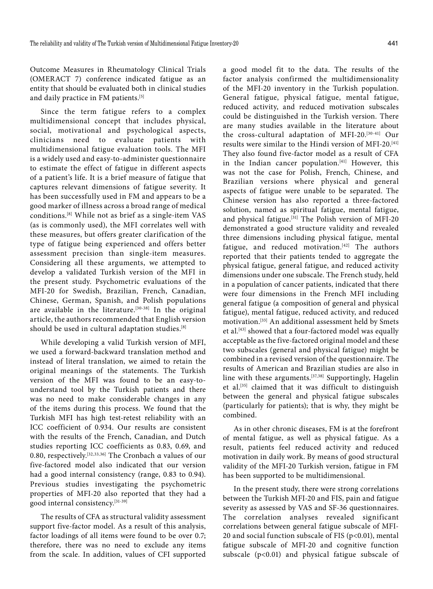Outcome Measures in Rheumatology Clinical Trials (OMERACT 7) conference indicated fatigue as an entity that should be evaluated both in clinical studies and daily practice in FM patients.<sup>[5]</sup>

Since the term fatigue refers to a complex multidimensional concept that includes physical, social, motivational and psychological aspects, clinicians need to evaluate patients with multidimensional fatigue evaluation tools. The MFI is a widely used and easy-to-administer questionnaire to estimate the effect of fatigue in different aspects of a patient's life. It is a brief measure of fatigue that captures relevant dimensions of fatigue severity. It has been successfully used in FM and appears to be a good marker of illness across a broad range of medical conditions.[8] While not as brief as a single-item VAS (as is commonly used), the MFI correlates well with these measures, but offers greater clarification of the type of fatigue being experienced and offers better assessment precision than single-item measures. Considering all these arguments, we attempted to develop a validated Turkish version of the MFI in the present study. Psychometric evaluations of the MFI-20 for Swedish, Brazilian, French, Canadian, Chinese, German, Spanish, and Polish populations are available in the literature.<sup>[30-38]</sup> In the original article, the authors recommended that English version should be used in cultural adaptation studies.<sup>[8]</sup>

While developing a valid Turkish version of MFI, we used a forward-backward translation method and instead of literal translation, we aimed to retain the original meanings of the statements. The Turkish version of the MFI was found to be an easy-tounderstand tool by the Turkish patients and there was no need to make considerable changes in any of the items during this process. We found that the Turkish MFI has high test-retest reliability with an ICC coefficient of 0.934. Our results are consistent with the results of the French, Canadian, and Dutch studies reporting ICC coefficients as 0.83, 0.69, and 0.80, respectively.[32,33,36] The Cronbach α values of our five-factored model also indicated that our version had a good internal consistency (range, 0.83 to 0.94). Previous studies investigating the psychometric properties of MFI-20 also reported that they had a good internal consistency.[31-39]

The results of CFA as structural validity assessment support five-factor model. As a result of this analysis, factor loadings of all items were found to be over 0.7; therefore, there was no need to exclude any items from the scale. In addition, values of CFI supported

a good model fit to the data. The results of the factor analysis confirmed the multidimensionality of the MFI-20 inventory in the Turkish population. General fatigue, physical fatigue, mental fatigue, reduced activity, and reduced motivation subscales could be distinguished in the Turkish version. There are many studies available in the literature about the cross-cultural adaptation of MFI-20.[30-41] Our results were similar to the Hindi version of MFI-20.[41] They also found five-factor model as a result of CFA in the Indian cancer population.<sup>[41]</sup> However, this was not the case for Polish, French, Chinese, and Brazilian versions where physical and general aspects of fatigue were unable to be separated. The Chinese version has also reported a three-factored solution, named as spiritual fatigue, mental fatigue, and physical fatigue.<sup>[31]</sup> The Polish version of MFI-20 demonstrated a good structure validity and revealed three dimensions including physical fatigue, mental fatigue, and reduced motivation.<sup>[42]</sup> The authors reported that their patients tended to aggregate the physical fatigue, general fatigue, and reduced activity dimensions under one subscale. The French study, held in a population of cancer patients, indicated that there were four dimensions in the French MFI including general fatigue (a composition of general and physical fatigue), mental fatigue, reduced activity, and reduced motivation.[33] An additional assessment held by Smets et al.<sup>[43]</sup> showed that a four-factored model was equally acceptable as the five-factored original model and these two subscales (general and physical fatigue) might be combined in a revised version of the questionnaire. The results of American and Brazilian studies are also in line with these arguments.<sup>[37,38]</sup> Supportingly, Hagelin et al.[35] claimed that it was difficult to distinguish between the general and physical fatigue subscales (particularly for patients); that is why, they might be combined.

As in other chronic diseases, FM is at the forefront of mental fatigue, as well as physical fatigue. As a result, patients feel reduced activity and reduced motivation in daily work. By means of good structural validity of the MFI-20 Turkish version, fatigue in FM has been supported to be multidimensional.

In the present study, there were strong correlations between the Turkish MFI-20 and FIS, pain and fatigue severity as assessed by VAS and SF-36 questionnaires. The correlation analyses revealed significant correlations between general fatigue subscale of MFI-20 and social function subscale of FIS (p<0.01), mental fatigue subscale of MFI-20 and cognitive function subscale (p<0.01) and physical fatigue subscale of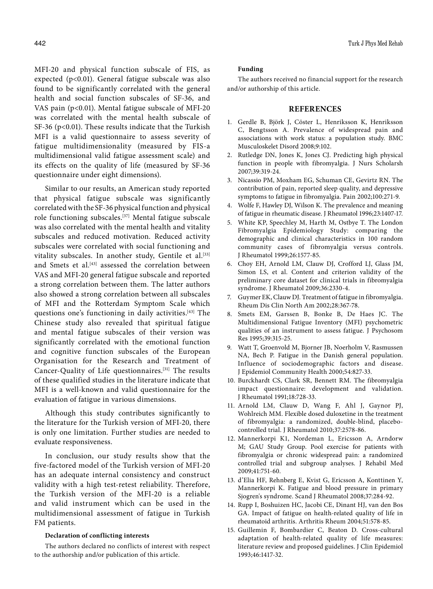MFI-20 and physical function subscale of FIS, as expected (p<0.01). General fatigue subscale was also found to be significantly correlated with the general health and social function subscales of SF-36, and VAS pain (p<0.01). Mental fatigue subscale of MFI-20 was correlated with the mental health subscale of SF-36 (p<0.01). These results indicate that the Turkish MFI is a valid questionnaire to assess severity of fatigue multidimensionality (measured by FIS-a multidimensional valid fatigue assessment scale) and its effects on the quality of life (measured by SF-36 questionnaire under eight dimensions).

Similar to our results, an American study reported that physical fatigue subscale was significantly correlated with the SF-36 physical function and physical role functioning subscales.[37] Mental fatigue subscale was also correlated with the mental health and vitality subscales and reduced motivation. Reduced activity subscales were correlated with social functioning and vitality subscales. In another study, Gentile et al.<sup>[33]</sup> and Smets et al.<sup>[43]</sup> assessed the correlation between VAS and MFI-20 general fatigue subscale and reported a strong correlation between them. The latter authors also showed a strong correlation between all subscales of MFI and the Rotterdam Symptom Scale which questions one's functioning in daily activities.[43] The Chinese study also revealed that spiritual fatigue and mental fatigue subscales of their version was significantly correlated with the emotional function and cognitive function subscales of the European Organisation for the Research and Treatment of Cancer-Quality of Life questionnaires.[31] The results of these qualified studies in the literature indicate that MFI is a well-known and valid questionnaire for the evaluation of fatigue in various dimensions.

Although this study contributes significantly to the literature for the Turkish version of MFI-20, there is only one limitation. Further studies are needed to evaluate responsiveness.

In conclusion, our study results show that the five-factored model of the Turkish version of MFI-20 has an adequate internal consistency and construct validity with a high test-retest reliability. Therefore, the Turkish version of the MFI-20 is a reliable and valid instrument which can be used in the multidimensional assessment of fatigue in Turkish FM patients.

### **Declaration of conflicting interests**

The authors declared no conflicts of interest with respect to the authorship and/or publication of this article.

#### **Funding**

The authors received no financial support for the research and/or authorship of this article.

# **REFERENCES**

- 1. Gerdle B, Björk J, Cöster L, Henriksson K, Henriksson C, Bengtsson A. Prevalence of widespread pain and associations with work status: a population study. BMC Musculoskelet Disord 2008;9:102.
- 2. Rutledge DN, Jones K, Jones CJ. Predicting high physical function in people with fibromyalgia. J Nurs Scholarsh 2007;39:319-24.
- 3. Nicassio PM, Moxham EG, Schuman CE, Gevirtz RN. The contribution of pain, reported sleep quality, and depressive symptoms to fatigue in fibromyalgia. Pain 2002;100:271-9.
- 4. Wolfe F, Hawley DJ, Wilson K. The prevalence and meaning of fatigue in rheumatic disease. J Rheumatol 1996;23:1407-17.
- 5. White KP, Speechley M, Harth M, Ostbye T. The London Fibromyalgia Epidemiology Study: comparing the demographic and clinical characteristics in 100 random community cases of fibromyalgia versus controls. J Rheumatol 1999;26:1577-85.
- 6. Choy EH, Arnold LM, Clauw DJ, Crofford LJ, Glass JM, Simon LS, et al. Content and criterion validity of the preliminary core dataset for clinical trials in fibromyalgia syndrome. J Rheumatol 2009;36:2330-4.
- 7. Guymer EK, Clauw DJ. Treatment of fatigue in fibromyalgia. Rheum Dis Clin North Am 2002;28:367-78.
- 8. Smets EM, Garssen B, Bonke B, De Haes JC. The Multidimensional Fatigue Inventory (MFI) psychometric qualities of an instrument to assess fatigue. J Psychosom Res 1995;39:315-25.
- 9. Watt T, Groenvold M, Bjorner JB, Noerholm V, Rasmussen NA, Bech P. Fatigue in the Danish general population. Influence of sociodemographic factors and disease. J Epidemiol Community Health 2000;54:827-33.
- 10. Burckhardt CS, Clark SR, Bennett RM. The fibromyalgia impact questionnaire: development and validation. J Rheumatol 1991;18:728-33.
- 11. Arnold LM, Clauw D, Wang F, Ahl J, Gaynor PJ, Wohlreich MM. Flexible dosed duloxetine in the treatment of fibromyalgia: a randomized, double-blind, placebocontrolled trial. J Rheumatol 2010;37:2578-86.
- 12. Mannerkorpi K1, Nordeman L, Ericsson A, Arndorw M; GAU Study Group. Pool exercise for patients with fibromyalgia or chronic widespread pain: a randomized controlled trial and subgroup analyses. J Rehabil Med 2009;41:751-60.
- 13. d'Elia HF, Rehnberg E, Kvist G, Ericsson A, Konttinen Y, Mannerkorpi K. Fatigue and blood pressure in primary Sjogren's syndrome. Scand J Rheumatol 2008;37:284-92.
- 14. Rupp I, Boshuizen HC, Jacobi CE, Dinant HJ, van den Bos GA. Impact of fatigue on health-related quality of life in rheumatoid arthritis. Arthritis Rheum 2004;51:578-85.
- 15. Guillemin F, Bombardier C, Beaton D. Cross-cultural adaptation of health-related quality of life measures: literature review and proposed guidelines. J Clin Epidemiol 1993;46:1417-32.